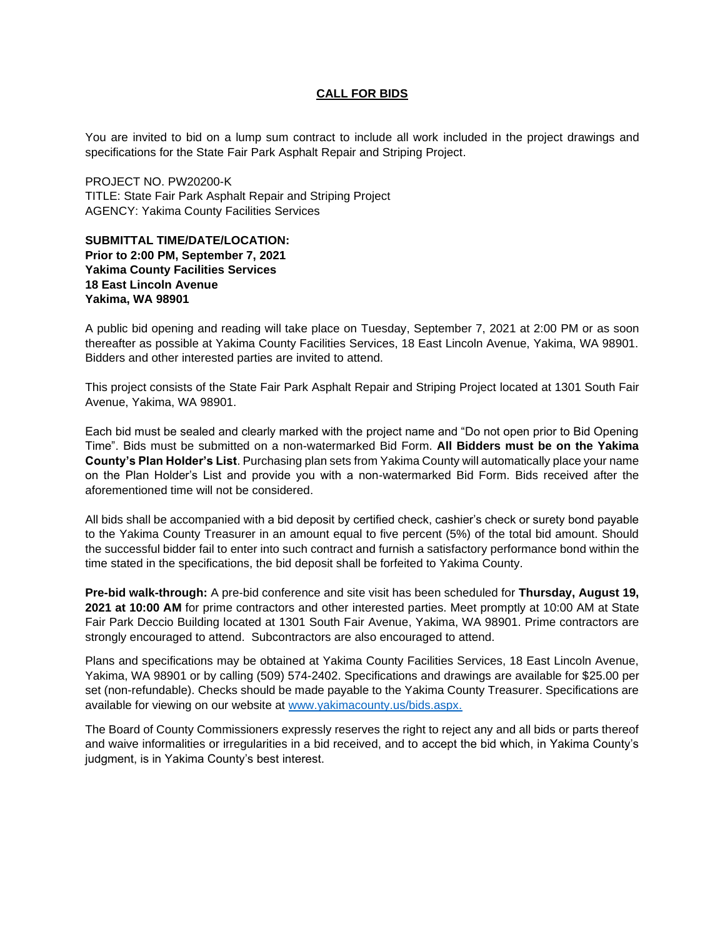## **CALL FOR BIDS**

You are invited to bid on a lump sum contract to include all work included in the project drawings and specifications for the State Fair Park Asphalt Repair and Striping Project.

PROJECT NO. PW20200-K TITLE: State Fair Park Asphalt Repair and Striping Project AGENCY: Yakima County Facilities Services

## **SUBMITTAL TIME/DATE/LOCATION: Prior to 2:00 PM, September 7, 2021 Yakima County Facilities Services 18 East Lincoln Avenue Yakima, WA 98901**

A public bid opening and reading will take place on Tuesday, September 7, 2021 at 2:00 PM or as soon thereafter as possible at Yakima County Facilities Services, 18 East Lincoln Avenue, Yakima, WA 98901. Bidders and other interested parties are invited to attend.

This project consists of the State Fair Park Asphalt Repair and Striping Project located at 1301 South Fair Avenue, Yakima, WA 98901.

Each bid must be sealed and clearly marked with the project name and "Do not open prior to Bid Opening Time". Bids must be submitted on a non-watermarked Bid Form. **All Bidders must be on the Yakima County's Plan Holder's List**. Purchasing plan sets from Yakima County will automatically place your name on the Plan Holder's List and provide you with a non-watermarked Bid Form. Bids received after the aforementioned time will not be considered.

All bids shall be accompanied with a bid deposit by certified check, cashier's check or surety bond payable to the Yakima County Treasurer in an amount equal to five percent (5%) of the total bid amount. Should the successful bidder fail to enter into such contract and furnish a satisfactory performance bond within the time stated in the specifications, the bid deposit shall be forfeited to Yakima County.

**Pre-bid walk-through:** A pre-bid conference and site visit has been scheduled for **Thursday, August 19, 2021 at 10:00 AM** for prime contractors and other interested parties. Meet promptly at 10:00 AM at State Fair Park Deccio Building located at 1301 South Fair Avenue, Yakima, WA 98901. Prime contractors are strongly encouraged to attend. Subcontractors are also encouraged to attend.

Plans and specifications may be obtained at Yakima County Facilities Services, 18 East Lincoln Avenue, Yakima, WA 98901 or by calling (509) 574-2402. Specifications and drawings are available for \$25.00 per set (non-refundable). Checks should be made payable to the Yakima County Treasurer. Specifications are available for viewing on our website at [www.yakimacounty.us/bids.aspx.](http://www.yakimacounty.us/bids.aspx)

The Board of County Commissioners expressly reserves the right to reject any and all bids or parts thereof and waive informalities or irregularities in a bid received, and to accept the bid which, in Yakima County's judgment, is in Yakima County's best interest.